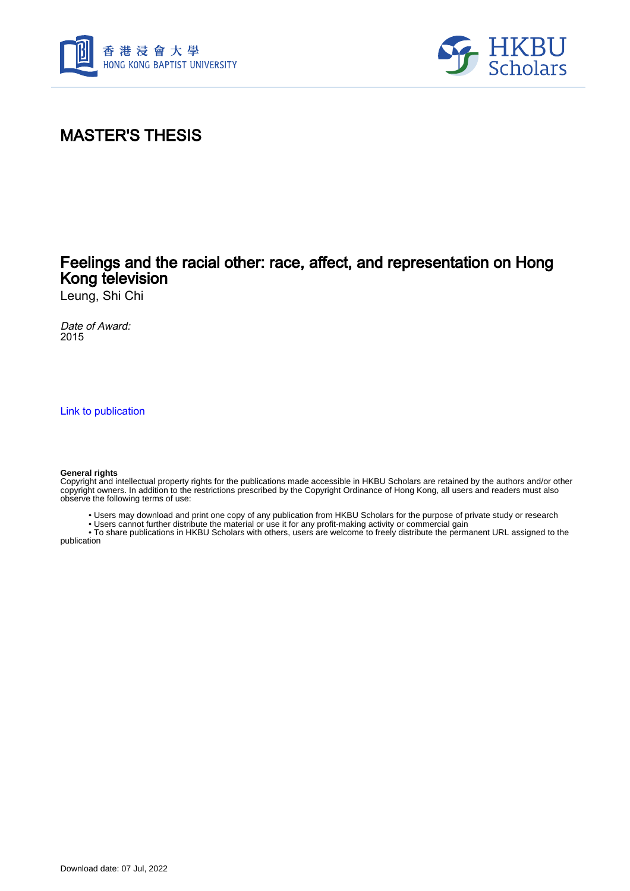



## MASTER'S THESIS

## Feelings and the racial other: race, affect, and representation on Hong Kong television

Leung, Shi Chi

Date of Award: 2015

[Link to publication](https://scholars.hkbu.edu.hk/en/studentTheses/d9d1bbc3-60cd-46fa-9281-b0539ad88efc)

#### **General rights**

Copyright and intellectual property rights for the publications made accessible in HKBU Scholars are retained by the authors and/or other copyright owners. In addition to the restrictions prescribed by the Copyright Ordinance of Hong Kong, all users and readers must also observe the following terms of use:

• Users may download and print one copy of any publication from HKBU Scholars for the purpose of private study or research

• Users cannot further distribute the material or use it for any profit-making activity or commercial gain

 • To share publications in HKBU Scholars with others, users are welcome to freely distribute the permanent URL assigned to the publication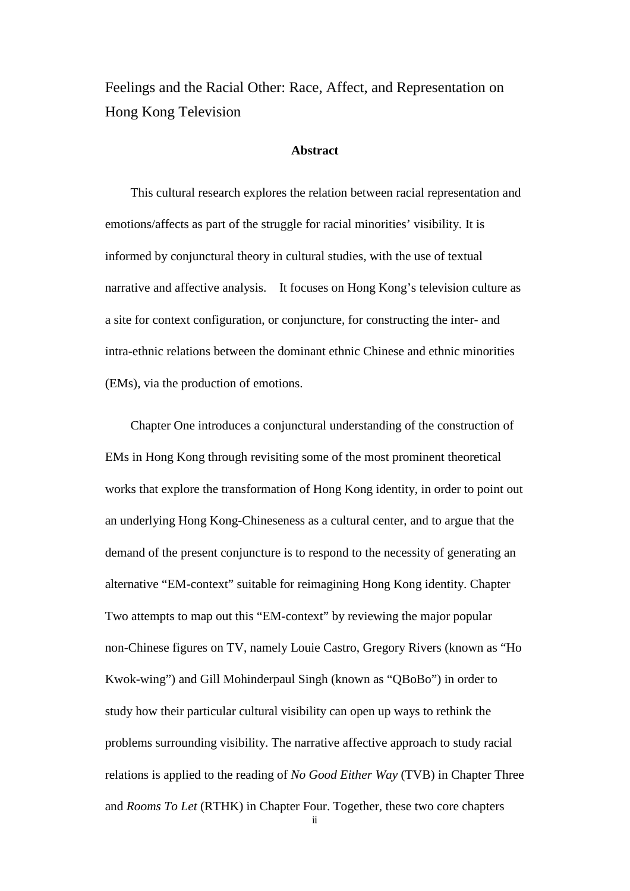Feelings and the Racial Other: Race, Affect, and Representation on Hong Kong Television

### **Abstract**

This cultural research explores the relation between racial representation and emotions/affects as part of the struggle for racial minorities' visibility. It is informed by conjunctural theory in cultural studies, with the use of textual narrative and affective analysis. It focuses on Hong Kong's television culture as a site for context configuration, or conjuncture, for constructing the inter- and intra-ethnic relations between the dominant ethnic Chinese and ethnic minorities (EMs), via the production of emotions.

Chapter One introduces a conjunctural understanding of the construction of EMs in Hong Kong through revisiting some of the most prominent theoretical works that explore the transformation of Hong Kong identity, in order to point out an underlying Hong Kong-Chineseness as a cultural center, and to argue that the demand of the present conjuncture is to respond to the necessity of generating an alternative "EM-context" suitable for reimagining Hong Kong identity. Chapter Two attempts to map out this "EM-context" by reviewing the major popular non-Chinese figures on TV, namely Louie Castro, Gregory Rivers (known as "Ho Kwok-wing") and Gill Mohinderpaul Singh (known as "QBoBo") in order to study how their particular cultural visibility can open up ways to rethink the problems surrounding visibility. The narrative affective approach to study racial relations is applied to the reading of *No Good Either Way* (TVB) in Chapter Three and *Rooms To Let* (RTHK) in Chapter Four. Together, these two core chapters

ii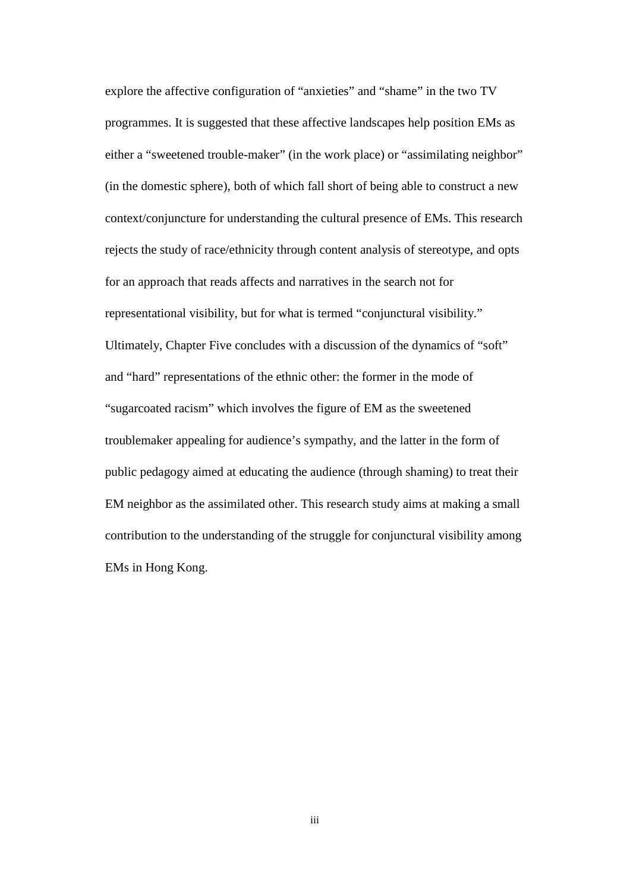explore the affective configuration of "anxieties" and "shame" in the two TV programmes. It is suggested that these affective landscapes help position EMs as either a "sweetened trouble-maker" (in the work place) or "assimilating neighbor" (in the domestic sphere), both of which fall short of being able to construct a new context/conjuncture for understanding the cultural presence of EMs. This research rejects the study of race/ethnicity through content analysis of stereotype, and opts for an approach that reads affects and narratives in the search not for representational visibility, but for what is termed "conjunctural visibility." Ultimately, Chapter Five concludes with a discussion of the dynamics of "soft" and "hard" representations of the ethnic other: the former in the mode of "sugarcoated racism" which involves the figure of EM as the sweetened troublemaker appealing for audience's sympathy, and the latter in the form of public pedagogy aimed at educating the audience (through shaming) to treat their EM neighbor as the assimilated other. This research study aims at making a small contribution to the understanding of the struggle for conjunctural visibility among EMs in Hong Kong.